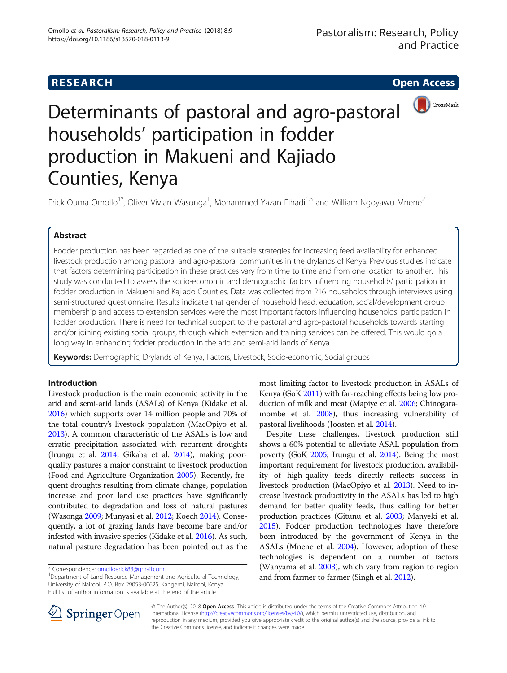## **RESEARCH CHEAR CHEAR CHEAR CHEAR CHEAR CHEAR CHEAR CHEAR CHEAR CHEAR CHEAR CHEAR CHEAR CHEAR CHEAR CHEAR CHEAR**



# Determinants of pastoral and agro-pastoral households' participation in fodder production in Makueni and Kajiado Counties, Kenya

Erick Ouma Omollo<sup>1\*</sup>, Oliver Vivian Wasonga<sup>1</sup>, Mohammed Yazan Elhadi<sup>1,3</sup> and William Ngoyawu Mnene<sup>2</sup>

## Abstract

Fodder production has been regarded as one of the suitable strategies for increasing feed availability for enhanced livestock production among pastoral and agro-pastoral communities in the drylands of Kenya. Previous studies indicate that factors determining participation in these practices vary from time to time and from one location to another. This study was conducted to assess the socio-economic and demographic factors influencing households' participation in fodder production in Makueni and Kajiado Counties. Data was collected from 216 households through interviews using semi-structured questionnaire. Results indicate that gender of household head, education, social/development group membership and access to extension services were the most important factors influencing households' participation in fodder production. There is need for technical support to the pastoral and agro-pastoral households towards starting and/or joining existing social groups, through which extension and training services can be offered. This would go a long way in enhancing fodder production in the arid and semi-arid lands of Kenya.

Keywords: Demographic, Drylands of Kenya, Factors, Livestock, Socio-economic, Social groups

## Introduction

Livestock production is the main economic activity in the arid and semi-arid lands (ASALs) of Kenya (Kidake et al. [2016\)](#page-8-0) which supports over 14 million people and 70% of the total country's livestock population (MacOpiyo et al. [2013\)](#page-8-0). A common characteristic of the ASALs is low and erratic precipitation associated with recurrent droughts (Irungu et al. [2014;](#page-8-0) Gikaba et al. [2014\)](#page-8-0), making poorquality pastures a major constraint to livestock production (Food and Agriculture Organization [2005](#page-8-0)). Recently, frequent droughts resulting from climate change, population increase and poor land use practices have significantly contributed to degradation and loss of natural pastures (Wasonga [2009;](#page-9-0) Munyasi et al. [2012;](#page-8-0) Koech [2014](#page-8-0)). Consequently, a lot of grazing lands have become bare and/or infested with invasive species (Kidake et al. [2016\)](#page-8-0). As such, natural pasture degradation has been pointed out as the

most limiting factor to livestock production in ASALs of Kenya (GoK [2011\)](#page-8-0) with far-reaching effects being low production of milk and meat (Mapiye et al. [2006](#page-8-0); Chinogaramombe et al. [2008](#page-8-0)), thus increasing vulnerability of pastoral livelihoods (Joosten et al. [2014\)](#page-8-0).

Despite these challenges, livestock production still shows a 60% potential to alleviate ASAL population from poverty (GoK [2005](#page-8-0); Irungu et al. [2014\)](#page-8-0). Being the most important requirement for livestock production, availability of high-quality feeds directly reflects success in livestock production (MacOpiyo et al. [2013](#page-8-0)). Need to increase livestock productivity in the ASALs has led to high demand for better quality feeds, thus calling for better production practices (Gitunu et al. [2003;](#page-8-0) Manyeki et al. [2015\)](#page-8-0). Fodder production technologies have therefore been introduced by the government of Kenya in the ASALs (Mnene et al. [2004\)](#page-8-0). However, adoption of these technologies is dependent on a number of factors (Wanyama et al. [2003](#page-9-0)), which vary from region to region and from farmer to farmer (Singh et al. [2012\)](#page-9-0).



© The Author(s). 2018 Open Access This article is distributed under the terms of the Creative Commons Attribution 4.0 International License ([http://creativecommons.org/licenses/by/4.0/\)](http://creativecommons.org/licenses/by/4.0/), which permits unrestricted use, distribution, and reproduction in any medium, provided you give appropriate credit to the original author(s) and the source, provide a link to the Creative Commons license, and indicate if changes were made.

<sup>\*</sup> Correspondence: [omolloerick88@gmail.com](mailto:omolloerick88@gmail.com) <sup>1</sup>

<sup>&</sup>lt;sup>1</sup>Department of Land Resource Management and Agricultural Technology, University of Nairobi, P.O. Box 29053-00625, Kangemi, Nairobi, Kenya Full list of author information is available at the end of the article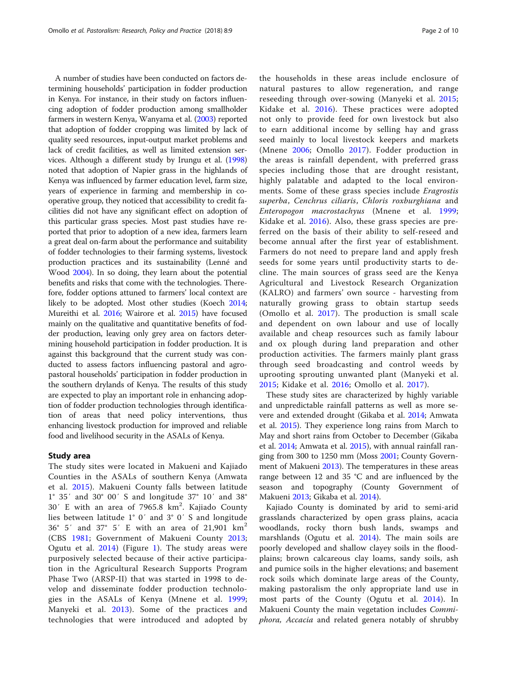A number of studies have been conducted on factors determining households' participation in fodder production in Kenya. For instance, in their study on factors influencing adoption of fodder production among smallholder farmers in western Kenya, Wanyama et al. [\(2003\)](#page-9-0) reported that adoption of fodder cropping was limited by lack of quality seed resources, input-output market problems and lack of credit facilities, as well as limited extension services. Although a different study by Irungu et al. [\(1998](#page-8-0)) noted that adoption of Napier grass in the highlands of Kenya was influenced by farmer education level, farm size, years of experience in farming and membership in cooperative group, they noticed that accessibility to credit facilities did not have any significant effect on adoption of this particular grass species. Most past studies have reported that prior to adoption of a new idea, farmers learn a great deal on-farm about the performance and suitability of fodder technologies to their farming systems, livestock production practices and its sustainability (Lenné and Wood [2004\)](#page-8-0). In so doing, they learn about the potential benefits and risks that come with the technologies. Therefore, fodder options attuned to farmers' local context are likely to be adopted. Most other studies (Koech [2014](#page-8-0); Mureithi et al. [2016](#page-8-0); Wairore et al. [2015\)](#page-9-0) have focused mainly on the qualitative and quantitative benefits of fodder production, leaving only grey area on factors determining household participation in fodder production. It is against this background that the current study was conducted to assess factors influencing pastoral and agropastoral households' participation in fodder production in the southern drylands of Kenya. The results of this study are expected to play an important role in enhancing adoption of fodder production technologies through identification of areas that need policy interventions, thus enhancing livestock production for improved and reliable food and livelihood security in the ASALs of Kenya.

#### Study area

The study sites were located in Makueni and Kajiado Counties in the ASALs of southern Kenya (Amwata et al. [2015](#page-8-0)). Makueni County falls between latitude 1° 35′ and 30° 00′ S and longitude 37° 10′ and 38° 30<sup>'</sup> E with an area of 7965.8 km<sup>2</sup>. Kajiado County lies between latitude 1° 0′ and 3° 0′ S and longitude 36° 5′ and 37° 5′ E with an area of 21,901 km<sup>2</sup> (CBS [1981;](#page-8-0) Government of Makueni County [2013](#page-8-0); Ogutu et al. [2014](#page-9-0)) (Figure [1\)](#page-2-0). The study areas were purposively selected because of their active participation in the Agricultural Research Supports Program Phase Two (ARSP-II) that was started in 1998 to develop and disseminate fodder production technologies in the ASALs of Kenya (Mnene et al. [1999](#page-8-0); Manyeki et al. [2013\)](#page-8-0). Some of the practices and technologies that were introduced and adopted by

the households in these areas include enclosure of natural pastures to allow regeneration, and range reseeding through over-sowing (Manyeki et al. [2015](#page-8-0); Kidake et al. [2016\)](#page-8-0). These practices were adopted not only to provide feed for own livestock but also to earn additional income by selling hay and grass seed mainly to local livestock keepers and markets (Mnene [2006;](#page-8-0) Omollo [2017](#page-9-0)). Fodder production in the areas is rainfall dependent, with preferred grass species including those that are drought resistant, highly palatable and adapted to the local environments. Some of these grass species include Eragrostis superba, Cenchrus ciliaris, Chloris roxburghiana and Enteropogon macrostachyus (Mnene et al. [1999](#page-8-0); Kidake et al. [2016\)](#page-8-0). Also, these grass species are preferred on the basis of their ability to self-reseed and become annual after the first year of establishment. Farmers do not need to prepare land and apply fresh seeds for some years until productivity starts to decline. The main sources of grass seed are the Kenya Agricultural and Livestock Research Organization (KALRO) and farmers' own source - harvesting from naturally growing grass to obtain startup seeds (Omollo et al. [2017\)](#page-9-0). The production is small scale and dependent on own labour and use of locally available and cheap resources such as family labour and ox plough during land preparation and other production activities. The farmers mainly plant grass through seed broadcasting and control weeds by uprooting sprouting unwanted plant (Manyeki et al. [2015](#page-8-0); Kidake et al. [2016](#page-8-0); Omollo et al. [2017\)](#page-9-0).

These study sites are characterized by highly variable and unpredictable rainfall patterns as well as more severe and extended drought (Gikaba et al. [2014;](#page-8-0) Amwata et al. [2015\)](#page-8-0). They experience long rains from March to May and short rains from October to December (Gikaba et al. [2014;](#page-8-0) Amwata et al. [2015\)](#page-8-0), with annual rainfall ranging from 300 to 1250 mm (Moss [2001](#page-8-0); County Government of Makueni [2013\)](#page-8-0). The temperatures in these areas range between 12 and 35 °C and are influenced by the season and topography (County Government of Makueni [2013](#page-8-0); Gikaba et al. [2014](#page-8-0)).

Kajiado County is dominated by arid to semi-arid grasslands characterized by open grass plains, acacia woodlands, rocky thorn bush lands, swamps and marshlands (Ogutu et al. [2014](#page-9-0)). The main soils are poorly developed and shallow clayey soils in the floodplains; brown calcareous clay loams, sandy soils, ash and pumice soils in the higher elevations; and basement rock soils which dominate large areas of the County, making pastoralism the only appropriate land use in most parts of the County (Ogutu et al. [2014\)](#page-9-0). In Makueni County the main vegetation includes Commiphora, Accacia and related genera notably of shrubby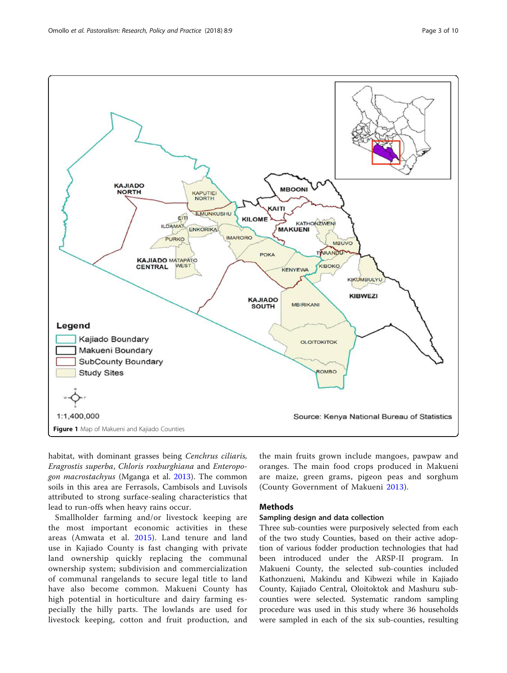<span id="page-2-0"></span>

habitat, with dominant grasses being Cenchrus ciliaris, Eragrostis superba, Chloris roxburghiana and Enteropogon macrostachyus (Mganga et al. [2013](#page-8-0)). The common soils in this area are Ferrasols, Cambisols and Luvisols attributed to strong surface-sealing characteristics that lead to run-offs when heavy rains occur.

Smallholder farming and/or livestock keeping are the most important economic activities in these areas (Amwata et al. [2015](#page-8-0)). Land tenure and land use in Kajiado County is fast changing with private land ownership quickly replacing the communal ownership system; subdivision and commercialization of communal rangelands to secure legal title to land have also become common. Makueni County has high potential in horticulture and dairy farming especially the hilly parts. The lowlands are used for livestock keeping, cotton and fruit production, and

the main fruits grown include mangoes, pawpaw and oranges. The main food crops produced in Makueni are maize, green grams, pigeon peas and sorghum (County Government of Makueni [2013\)](#page-8-0).

## Methods

#### Sampling design and data collection

Three sub-counties were purposively selected from each of the two study Counties, based on their active adoption of various fodder production technologies that had been introduced under the ARSP-II program. In Makueni County, the selected sub-counties included Kathonzueni, Makindu and Kibwezi while in Kajiado County, Kajiado Central, Oloitoktok and Mashuru subcounties were selected. Systematic random sampling procedure was used in this study where 36 households were sampled in each of the six sub-counties, resulting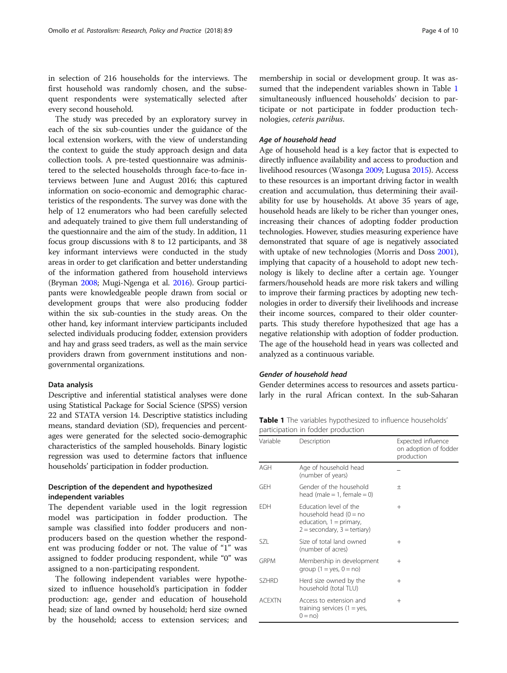in selection of 216 households for the interviews. The first household was randomly chosen, and the subsequent respondents were systematically selected after every second household.

The study was preceded by an exploratory survey in each of the six sub-counties under the guidance of the local extension workers, with the view of understanding the context to guide the study approach design and data collection tools. A pre-tested questionnaire was administered to the selected households through face-to-face interviews between June and August 2016; this captured information on socio-economic and demographic characteristics of the respondents. The survey was done with the help of 12 enumerators who had been carefully selected and adequately trained to give them full understanding of the questionnaire and the aim of the study. In addition, 11 focus group discussions with 8 to 12 participants, and 38 key informant interviews were conducted in the study areas in order to get clarification and better understanding of the information gathered from household interviews (Bryman [2008](#page-8-0); Mugi-Ngenga et al. [2016\)](#page-8-0). Group participants were knowledgeable people drawn from social or development groups that were also producing fodder within the six sub-counties in the study areas. On the other hand, key informant interview participants included selected individuals producing fodder, extension providers and hay and grass seed traders, as well as the main service providers drawn from government institutions and nongovernmental organizations.

#### Data analysis

Descriptive and inferential statistical analyses were done using Statistical Package for Social Science (SPSS) version 22 and STATA version 14. Descriptive statistics including means, standard deviation (SD), frequencies and percentages were generated for the selected socio-demographic characteristics of the sampled households. Binary logistic regression was used to determine factors that influence households' participation in fodder production.

## Description of the dependent and hypothesized independent variables

The dependent variable used in the logit regression model was participation in fodder production. The sample was classified into fodder producers and nonproducers based on the question whether the respondent was producing fodder or not. The value of "1" was assigned to fodder producing respondent, while "0" was assigned to a non-participating respondent.

The following independent variables were hypothesized to influence household's participation in fodder production: age, gender and education of household head; size of land owned by household; herd size owned by the household; access to extension services; and membership in social or development group. It was assumed that the independent variables shown in Table 1 simultaneously influenced households' decision to participate or not participate in fodder production technologies, ceteris paribus.

#### Age of household head

Age of household head is a key factor that is expected to directly influence availability and access to production and livelihood resources (Wasonga [2009;](#page-9-0) Lugusa [2015\)](#page-8-0). Access to these resources is an important driving factor in wealth creation and accumulation, thus determining their availability for use by households. At above 35 years of age, household heads are likely to be richer than younger ones, increasing their chances of adopting fodder production technologies. However, studies measuring experience have demonstrated that square of age is negatively associated with uptake of new technologies (Morris and Doss [2001](#page-8-0)), implying that capacity of a household to adopt new technology is likely to decline after a certain age. Younger farmers/household heads are more risk takers and willing to improve their farming practices by adopting new technologies in order to diversify their livelihoods and increase their income sources, compared to their older counterparts. This study therefore hypothesized that age has a negative relationship with adoption of fodder production. The age of the household head in years was collected and analyzed as a continuous variable.

#### Gender of household head

Gender determines access to resources and assets particularly in the rural African context. In the sub-Saharan

|  | <b>Table 1</b> The variables hypothesized to influence households' |  |  |
|--|--------------------------------------------------------------------|--|--|
|  | participation in fodder production                                 |  |  |

| Variable      | Description                                                                                                         | Expected influence<br>on adoption of fodder<br>production |
|---------------|---------------------------------------------------------------------------------------------------------------------|-----------------------------------------------------------|
| AGH           | Age of household head<br>(number of years)                                                                          |                                                           |
| <b>GEH</b>    | Gender of the household<br>head (male $= 1$ , female $= 0$ )                                                        | $^+$                                                      |
| <b>EDH</b>    | Education level of the<br>household head $(0 = no$<br>education, $1 =$ primary,<br>$2 =$ secondary, $3 =$ tertiary) | $^{+}$                                                    |
| SZL           | Size of total land owned<br>(number of acres)                                                                       | $^{+}$                                                    |
| <b>GRPM</b>   | Membership in development<br>group $(1 = yes, 0 = no)$                                                              | $^{+}$                                                    |
| <b>SZHRD</b>  | Herd size owned by the<br>household (total TLU)                                                                     | $^{+}$                                                    |
| <b>ACEXTN</b> | Access to extension and<br>training services $(1 = yes,$<br>$0 = no$                                                | $^{+}$                                                    |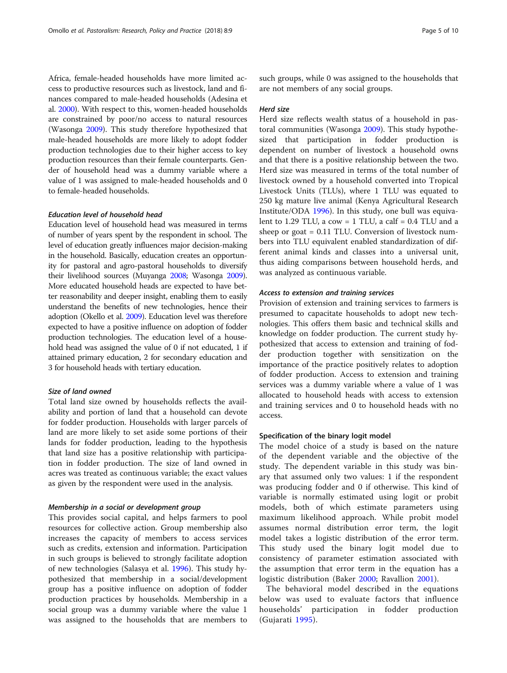Africa, female-headed households have more limited access to productive resources such as livestock, land and finances compared to male-headed households (Adesina et al. [2000\)](#page-7-0). With respect to this, women-headed households are constrained by poor/no access to natural resources (Wasonga [2009\)](#page-9-0). This study therefore hypothesized that male-headed households are more likely to adopt fodder production technologies due to their higher access to key production resources than their female counterparts. Gender of household head was a dummy variable where a value of 1 was assigned to male-headed households and 0 to female-headed households.

#### Education level of household head

Education level of household head was measured in terms of number of years spent by the respondent in school. The level of education greatly influences major decision-making in the household. Basically, education creates an opportunity for pastoral and agro-pastoral households to diversify their livelihood sources (Muyanga [2008;](#page-8-0) Wasonga [2009](#page-9-0)). More educated household heads are expected to have better reasonability and deeper insight, enabling them to easily understand the benefits of new technologies, hence their adoption (Okello et al. [2009\)](#page-9-0). Education level was therefore expected to have a positive influence on adoption of fodder production technologies. The education level of a household head was assigned the value of 0 if not educated, 1 if attained primary education, 2 for secondary education and 3 for household heads with tertiary education.

#### Size of land owned

Total land size owned by households reflects the availability and portion of land that a household can devote for fodder production. Households with larger parcels of land are more likely to set aside some portions of their lands for fodder production, leading to the hypothesis that land size has a positive relationship with participation in fodder production. The size of land owned in acres was treated as continuous variable; the exact values as given by the respondent were used in the analysis.

#### Membership in a social or development group

This provides social capital, and helps farmers to pool resources for collective action. Group membership also increases the capacity of members to access services such as credits, extension and information. Participation in such groups is believed to strongly facilitate adoption of new technologies (Salasya et al. [1996\)](#page-9-0). This study hypothesized that membership in a social/development group has a positive influence on adoption of fodder production practices by households. Membership in a social group was a dummy variable where the value 1 was assigned to the households that are members to such groups, while 0 was assigned to the households that are not members of any social groups.

#### Herd size

Herd size reflects wealth status of a household in pastoral communities (Wasonga [2009](#page-9-0)). This study hypothesized that participation in fodder production is dependent on number of livestock a household owns and that there is a positive relationship between the two. Herd size was measured in terms of the total number of livestock owned by a household converted into Tropical Livestock Units (TLUs), where 1 TLU was equated to 250 kg mature live animal (Kenya Agricultural Research Institute/ODA [1996](#page-8-0)). In this study, one bull was equivalent to 1.29 TLU, a  $\text{cow} = 1$  TLU, a  $\text{calf} = 0.4$  TLU and a sheep or goat = 0.11 TLU. Conversion of livestock numbers into TLU equivalent enabled standardization of different animal kinds and classes into a universal unit, thus aiding comparisons between household herds, and was analyzed as continuous variable.

#### Access to extension and training services

Provision of extension and training services to farmers is presumed to capacitate households to adopt new technologies. This offers them basic and technical skills and knowledge on fodder production. The current study hypothesized that access to extension and training of fodder production together with sensitization on the importance of the practice positively relates to adoption of fodder production. Access to extension and training services was a dummy variable where a value of 1 was allocated to household heads with access to extension and training services and 0 to household heads with no access.

#### Specification of the binary logit model

The model choice of a study is based on the nature of the dependent variable and the objective of the study. The dependent variable in this study was binary that assumed only two values: 1 if the respondent was producing fodder and 0 if otherwise. This kind of variable is normally estimated using logit or probit models, both of which estimate parameters using maximum likelihood approach. While probit model assumes normal distribution error term, the logit model takes a logistic distribution of the error term. This study used the binary logit model due to consistency of parameter estimation associated with the assumption that error term in the equation has a logistic distribution (Baker [2000;](#page-8-0) Ravallion [2001](#page-9-0)).

The behavioral model described in the equations below was used to evaluate factors that influence households' participation in fodder production (Gujarati [1995\)](#page-8-0).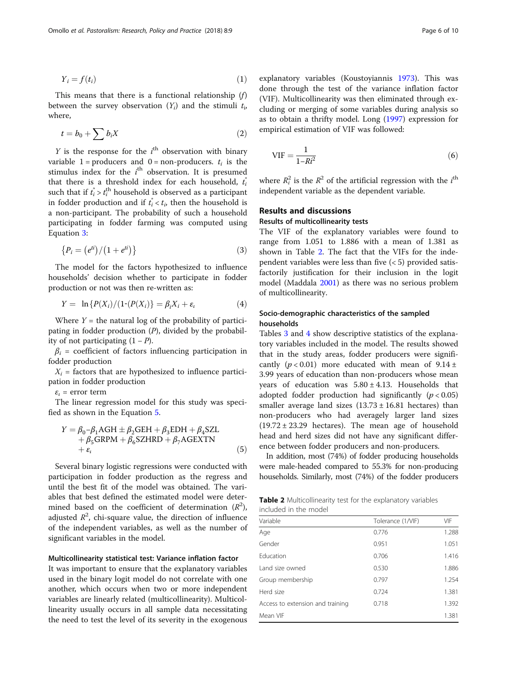$$
Y_i = f(t_i) \tag{1}
$$

This means that there is a functional relationship (f) between the survey observation  $(Y_i)$  and the stimuli  $t_i$ , where,

$$
t = b_0 + \sum b_i X \tag{2}
$$

Y is the response for the  $i^{\text{th}}$  observation with binary<br>rishle 1 – producers and 0 – pop-producers t, is the variable 1 = producers and 0 = non-producers.  $t_i$  is the stimulus index for the  $i^{\text{th}}$  observation. It is presumed<br>that there is a threshold index for each bousehold  $t_i$ that there is a threshold index for each household,  $t_i$ <br>such that if  $t_i > t_i^{\text{th}}$  bousehold is observed as a participant such that if  $t_i^* > t_i^{\text{th}}$  household is observed as a participant<br>in fodder production and if  $t_i < t$ , then the household is in fodder production and if  $t_i^* < t_i$ , then the household is<br>a non-participant. The probability of such a household a non-participant. The probability of such a household participating in fodder farming was computed using Equation 3:

$$
\left\{P_i = \left(e^{ti}\right) / \left(1 + e^{ti}\right)\right\} \tag{3}
$$

The model for the factors hypothesized to influence households' decision whether to participate in fodder production or not was then re-written as:

$$
Y = \ln \{ P(X_i) / (1 - (P(X_i)) \} = \beta_i X_i + \varepsilon_i \tag{4}
$$

Where  $Y =$  the natural log of the probability of participating in fodder production  $(P)$ , divided by the probability of not participating  $(1 − P)$ .

 $\beta_i$  = coefficient of factors influencing participation in fodder production

 $X_i$  = factors that are hypothesized to influence participation in fodder production

 $\varepsilon_i$  = error term

The linear regression model for this study was specified as shown in the Equation 5.

$$
Y = \beta_0 - \beta_1 A G H \pm \beta_2 G EH + \beta_3 EDH + \beta_4 SLL + \beta_5 GRPM + \beta_6 SZHRD + \beta_7 AGEXTN + \varepsilon_t
$$
 (5)

Several binary logistic regressions were conducted with participation in fodder production as the regress and until the best fit of the model was obtained. The variables that best defined the estimated model were determined based on the coefficient of determination  $(R^2)$ ,<br>adjusted  $R^2$  chi-square value the direction of influence adjusted  $R^2$ , chi-square value, the direction of influence<br>of the independent variables, as well as the number of of the independent variables, as well as the number of significant variables in the model.

#### Multicollinearity statistical test: Variance inflation factor

It was important to ensure that the explanatory variables used in the binary logit model do not correlate with one another, which occurs when two or more independent variables are linearly related (multicollinearity). Multicollinearity usually occurs in all sample data necessitating the need to test the level of its severity in the exogenous explanatory variables (Koustoyiannis [1973](#page-8-0)). This was done through the test of the variance inflation factor (VIF). Multicollinearity was then eliminated through excluding or merging of some variables during analysis so as to obtain a thrifty model. Long ([1997](#page-8-0)) expression for empirical estimation of VIF was followed:

$$
\text{VIF} = \frac{1}{1 - Ri^2} \tag{6}
$$

where  $R_i^2$  is the  $R^2$  of the artificial regression with the *i*<sup>th</sup><br>independent variable as the dependent variable independent variable as the dependent variable.

## Results and discussions

### Results of multicollinearity tests

The VIF of the explanatory variables were found to range from 1.051 to 1.886 with a mean of 1.381 as shown in Table 2. The fact that the VIFs for the independent variables were less than five  $(< 5$ ) provided satisfactorily justification for their inclusion in the logit model (Maddala [2001\)](#page-8-0) as there was no serious problem of multicollinearity.

#### Socio-demographic characteristics of the sampled households

Tables [3](#page-6-0) and [4](#page-6-0) show descriptive statistics of the explanatory variables included in the model. The results showed that in the study areas, fodder producers were significantly ( $p < 0.01$ ) more educated with mean of  $9.14 \pm$ 3.99 years of education than non-producers whose mean years of education was  $5.80 \pm 4.13$ . Households that adopted fodder production had significantly  $(p < 0.05)$ smaller average land sizes  $(13.73 \pm 16.81)$  hectares) than non-producers who had averagely larger land sizes  $(19.72 \pm 23.29$  hectares). The mean age of household head and herd sizes did not have any significant difference between fodder producers and non-producers.

In addition, most (74%) of fodder producing households were male-headed compared to 55.3% for non-producing households. Similarly, most (74%) of the fodder producers

| <b>Table 2</b> Multicollinearity test for the explanatory variables |  |  |
|---------------------------------------------------------------------|--|--|
| included in the model                                               |  |  |

| VIF<br>Tolerance (1/VIF) |
|--------------------------|
|                          |
| 1.288                    |
| 1.051                    |
| 1.416                    |
| 1.886                    |
| 1.254                    |
| 1.381                    |
| 1.392                    |
| 1.381                    |
|                          |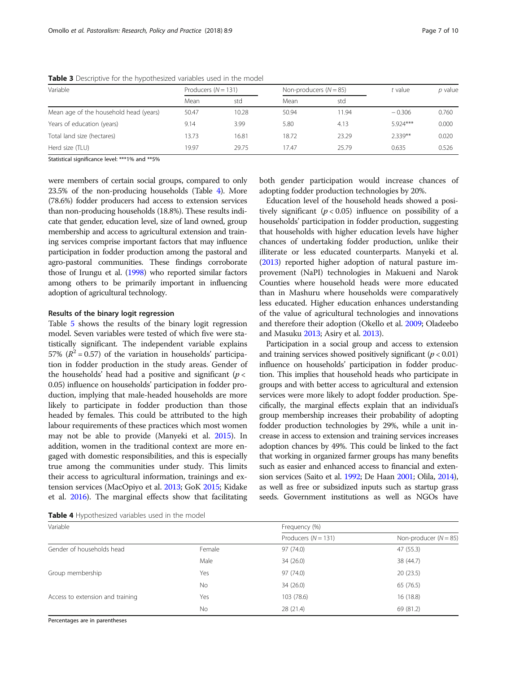| Variable                               | Producers $(N = 131)$ |       | Non-producers $(N = 85)$ |       | t value  | p value |
|----------------------------------------|-----------------------|-------|--------------------------|-------|----------|---------|
|                                        | Mean                  | std   | Mean                     | std   |          |         |
| Mean age of the household head (years) | 50.47                 | 10.28 | 50.94                    | 11.94 | $-0.306$ | 0.760   |
| Years of education (years)             | 9.14                  | 3.99  | 5.80                     | 4.13  | 5.924*** | 0.000   |
| Total land size (hectares)             | 3.73                  | 16.81 | 18.72                    | 23.29 | 2.339**  | 0.020   |
| Herd size (TLU)                        | 19.97                 | 29.75 | 17.47                    | 25.79 | 0.635    | 0.526   |

<span id="page-6-0"></span>Table 3 Descriptive for the hypothesized variables used in the model

Statistical significance level: \*\*\*1% and \*\*5%

were members of certain social groups, compared to only 23.5% of the non-producing households (Table 4). More (78.6%) fodder producers had access to extension services than non-producing households (18.8%). These results indicate that gender, education level, size of land owned, group membership and access to agricultural extension and training services comprise important factors that may influence participation in fodder production among the pastoral and agro-pastoral communities. These findings corroborate those of Irungu et al. [\(1998](#page-8-0)) who reported similar factors among others to be primarily important in influencing adoption of agricultural technology.

#### Results of the binary logit regression

Table [5](#page-7-0) shows the results of the binary logit regression model. Seven variables were tested of which five were statistically significant. The independent variable explains 57% ( $R^2$  = 0.57) of the variation in households' participation in fodder production in the study areas. Gender of the households' head had a positive and significant ( $p <$ 0.05) influence on households' participation in fodder production, implying that male-headed households are more likely to participate in fodder production than those headed by females. This could be attributed to the high labour requirements of these practices which most women may not be able to provide (Manyeki et al. [2015](#page-8-0)). In addition, women in the traditional context are more engaged with domestic responsibilities, and this is especially true among the communities under study. This limits their access to agricultural information, trainings and extension services (MacOpiyo et al. [2013](#page-8-0); GoK [2015](#page-8-0); Kidake et al. [2016\)](#page-8-0). The marginal effects show that facilitating

both gender participation would increase chances of adopting fodder production technologies by 20%.

Education level of the household heads showed a positively significant ( $p < 0.05$ ) influence on possibility of a households' participation in fodder production, suggesting that households with higher education levels have higher chances of undertaking fodder production, unlike their illiterate or less educated counterparts. Manyeki et al. ([2013](#page-8-0)) reported higher adoption of natural pasture improvement (NaPI) technologies in Makueni and Narok Counties where household heads were more educated than in Mashuru where households were comparatively less educated. Higher education enhances understanding of the value of agricultural technologies and innovations and therefore their adoption (Okello et al. [2009](#page-9-0); Oladeebo and Masuku [2013](#page-9-0); Asiry et al. [2013\)](#page-8-0).

Participation in a social group and access to extension and training services showed positively significant  $(p < 0.01)$ influence on households' participation in fodder production. This implies that household heads who participate in groups and with better access to agricultural and extension services were more likely to adopt fodder production. Specifically, the marginal effects explain that an individual's group membership increases their probability of adopting fodder production technologies by 29%, while a unit increase in access to extension and training services increases adoption chances by 49%. This could be linked to the fact that working in organized farmer groups has many benefits such as easier and enhanced access to financial and extension services (Saito et al. [1992](#page-9-0); De Haan [2001;](#page-8-0) Olila, [2014](#page-9-0)), as well as free or subsidized inputs such as startup grass seeds. Government institutions as well as NGOs have

Table 4 Hypothesized variables used in the model

| Variable                         |           | Frequency (%)           |                         |  |
|----------------------------------|-----------|-------------------------|-------------------------|--|
|                                  |           | Producers ( $N = 131$ ) | Non-producer $(N = 85)$ |  |
| Gender of households head        | Female    | 97 (74.0)               | 47 (55.3)               |  |
|                                  | Male      | 34(26.0)                | 38 (44.7)               |  |
| Group membership                 | Yes       | 97 (74.0)               | 20(23.5)                |  |
|                                  | <b>No</b> | 34(26.0)                | 65 (76.5)               |  |
| Access to extension and training | Yes       | 103 (78.6)              | 16(18.8)                |  |
|                                  | <b>No</b> | 28(21.4)                | 69 (81.2)               |  |

Percentages are in parentheses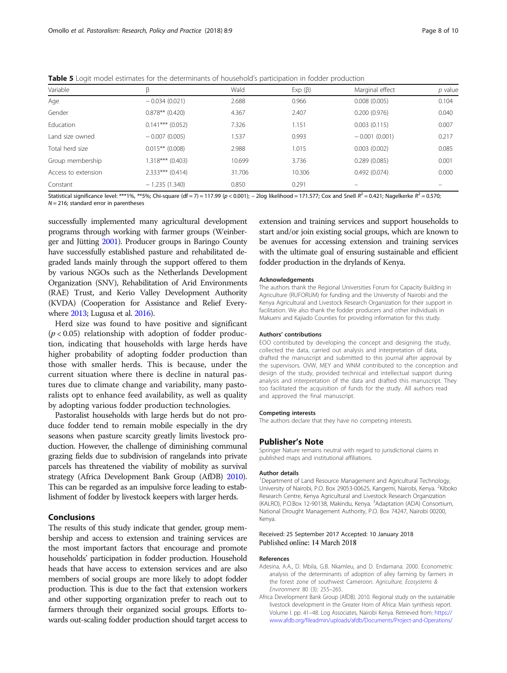<span id="page-7-0"></span>

|  |  | <b>Table 5</b> Logit model estimates for the determinants of household's participation in fodder production |  |
|--|--|-------------------------------------------------------------------------------------------------------------|--|
|--|--|-------------------------------------------------------------------------------------------------------------|--|

| Variable            | ß                  | Wald   | $Exp( \beta )$ | Marginal effect | $p$ value |  |
|---------------------|--------------------|--------|----------------|-----------------|-----------|--|
| Age                 | $-0.034(0.021)$    | 2.688  | 0.966          | 0.008(0.005)    | 0.104     |  |
| Gender              | $0.878**$ (0.420)  | 4.367  | 2.407          | 0.200(0.976)    | 0.040     |  |
| Education           | $0.141***$ (0.052) | 7.326  | 1.151          | 0.003(0.115)    | 0.007     |  |
| Land size owned     | $-0.007(0.005)$    | 1.537  | 0.993          | $-0.001(0.001)$ | 0.217     |  |
| Total herd size     | $0.015**$ (0.008)  | 2.988  | 1.015          | 0.003(0.002)    | 0.085     |  |
| Group membership    | $1.318***$ (0.403) | 10.699 | 3.736          | 0.289(0.085)    | 0.001     |  |
| Access to extension | $2.333***$ (0.414) | 31.706 | 10.306         | 0.492(0.074)    | 0.000     |  |
| Constant            | $-1.235(1.340)$    | 0.850  | 0.291          |                 |           |  |

Statistical significance level: \*\*\*1%, \*\*5%; Chi-square (df = 7) = 117.99 (p < 0.001); - 2log likelihood = 171.577; Cox and Snell  $R^2$  = 0.421; Nagelkerke  $R^2$  = 0.570;  $N = 216$ ; standard error in parentheses

successfully implemented many agricultural development programs through working with farmer groups (Weinberger and Jütting [2001\)](#page-9-0). Producer groups in Baringo County have successfully established pasture and rehabilitated degraded lands mainly through the support offered to them by various NGOs such as the Netherlands Development Organization (SNV), Rehabilitation of Arid Environments (RAE) Trust, and Kerio Valley Development Authority (KVDA) (Cooperation for Assistance and Relief Everywhere [2013;](#page-8-0) Lugusa et al. [2016\)](#page-8-0).

Herd size was found to have positive and significant  $(p < 0.05)$  relationship with adoption of fodder production, indicating that households with large herds have higher probability of adopting fodder production than those with smaller herds. This is because, under the current situation where there is decline in natural pastures due to climate change and variability, many pastoralists opt to enhance feed availability, as well as quality by adopting various fodder production technologies.

Pastoralist households with large herds but do not produce fodder tend to remain mobile especially in the dry seasons when pasture scarcity greatly limits livestock production. However, the challenge of diminishing communal grazing fields due to subdivision of rangelands into private parcels has threatened the viability of mobility as survival strategy (Africa Development Bank Group (AfDB) 2010). This can be regarded as an impulsive force leading to establishment of fodder by livestock keepers with larger herds.

#### Conclusions

The results of this study indicate that gender, group membership and access to extension and training services are the most important factors that encourage and promote households' participation in fodder production. Household heads that have access to extension services and are also members of social groups are more likely to adopt fodder production. This is due to the fact that extension workers and other supporting organization prefer to reach out to farmers through their organized social groups. Efforts towards out-scaling fodder production should target access to

extension and training services and support households to start and/or join existing social groups, which are known to be avenues for accessing extension and training services with the ultimate goal of ensuring sustainable and efficient fodder production in the drylands of Kenya.

#### Acknowledgements

The authors thank the Regional Universities Forum for Capacity Building in Agriculture (RUFORUM) for funding and the University of Nairobi and the Kenya Agricultural and Livestock Research Organization for their support in facilitation. We also thank the fodder producers and other individuals in Makueni and Kajiado Counties for providing information for this study.

#### Authors' contributions

EOO contributed by developing the concept and designing the study, collected the data, carried out analysis and interpretation of data, drafted the manuscript and submitted to this journal after approval by the supervisors. OVW, MEY and WNM contributed to the conception and design of the study, provided technical and intellectual support during analysis and interpretation of the data and drafted this manuscript. They too facilitated the acquisition of funds for the study. All authors read and approved the final manuscript.

#### Competing interests

The authors declare that they have no competing interests.

#### Publisher's Note

Springer Nature remains neutral with regard to jurisdictional claims in published maps and institutional affiliations.

#### Author details

<sup>1</sup>Department of Land Resource Management and Agricultural Technology, University of Nairobi, P.O. Box 29053-00625, Kangemi, Nairobi, Kenya. <sup>2</sup>Kiboko Research Centre, Kenya Agricultural and Livestock Research Organization (KALRO), P.O.Box 12-90138, Makindu, Kenya. <sup>3</sup>Adaptation (ADA) Consortium National Drought Management Authority, P.O. Box 74247, Nairobi 00200, Kenya.

#### Received: 25 September 2017 Accepted: 10 January 2018 Published online: 14 March 2018

#### References

- Adesina, A.A., D. Mbila, G.B. Nkamleu, and D. Endamana. 2000. Econometric analysis of the determinants of adoption of alley farming by farmers in the forest zone of southwest Cameroon. Agriculture, Ecosystems & Environment 80 (3): 255–265.
- Africa Development Bank Group (AfDB). 2010. Regional study on the sustainable livestock development in the Greater Horn of Africa: Main synthesis report. Volume I. pp. 41–48. Log Associates, Nairobi Kenya. Retrieved from: [https://](https://www.afdb.org/fileadmin/uploads/afdb/Documents/Project-and-Operations/Final_Synthesis_Report_AfDB_Regional_Livestock_Study_20_January_2010%5B1%5D.pdf) [www.afdb.org/fileadmin/uploads/afdb/Documents/Project-and-Operations/](https://www.afdb.org/fileadmin/uploads/afdb/Documents/Project-and-Operations/Final_Synthesis_Report_AfDB_Regional_Livestock_Study_20_January_2010%5B1%5D.pdf)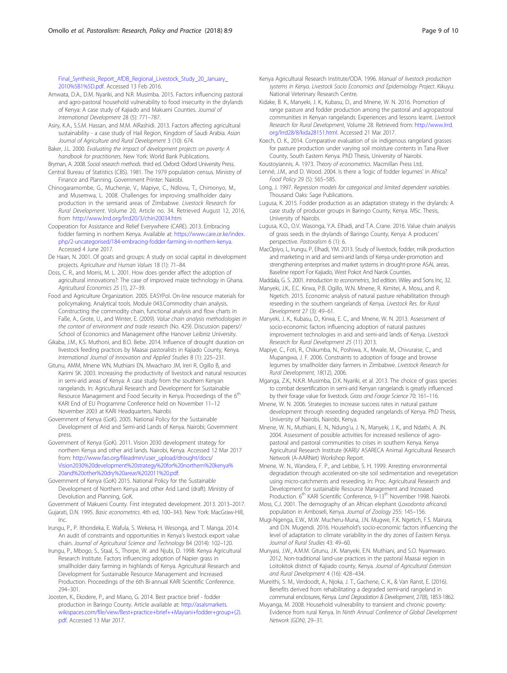<span id="page-8-0"></span>[Final\\_Synthesis\\_Report\\_AfDB\\_Regional\\_Livestock\\_Study\\_20\\_January\\_](https://www.afdb.org/fileadmin/uploads/afdb/Documents/Project-and-Operations/Final_Synthesis_Report_AfDB_Regional_Livestock_Study_20_January_2010%5B1%5D.pdf) [2010%5B1%5D.pdf.](https://www.afdb.org/fileadmin/uploads/afdb/Documents/Project-and-Operations/Final_Synthesis_Report_AfDB_Regional_Livestock_Study_20_January_2010%5B1%5D.pdf) Accessed 13 Feb 2016.

- Amwata, D.A., D.M. Nyariki, and N.R. Musimba. 2015. Factors influencing pastoral and agro-pastoral household vulnerability to food insecurity in the drylands of Kenya: A case study of Kajiado and Makueni Counties. Journal of International Development 28 (5): 771–787.
- Asiry, K.A., S.S.M. Hassan, and M.M. AlRashidi. 2013. Factors affecting agricultural sustainability - a case study of Hail Region, Kingdom of Saudi Arabia. Asian Journal of Agriculture and Rural Development 3 (10): 674.
- Baker, J.L. 2000. Evaluating the impact of development projects on poverty: A handbook for practitioners. New York: World Bank Publications.
- Bryman, A. 2008. Social research methods. third ed. Oxford: Oxford University Press. Central Bureau of Statistics (CBS). 1981. The 1979 population census. Ministry of Finance and Planning. Government Printer: Nairobi.
- Chinogaramombe, G., Muchenje, V., Mapiye, C., Ndlovu, T., Chimonyo, M., and Musemwa, L. 2008. Challenges for improving smallholder dairy production in the semiarid areas of Zimbabwe. Livestock Research for Rural Development. Volume 20, Article no. 34. Retrieved August 12, 2016, from <http://www.lrrd.org/lrrd20/3/chin20034.htm>
- Cooperation for Assistance and Relief Everywhere (CARE). 2013. Embracing fodder farming in northern Kenya. Available at: [https://www.care.or.ke/index.](https://www.care.or.ke/index.php/2-uncategorised/184-embracing-fodder-farming-in-northern-kenya) [php/2-uncategorised/184-embracing-fodder-farming-in-northern-kenya.](https://www.care.or.ke/index.php/2-uncategorised/184-embracing-fodder-farming-in-northern-kenya) Accessed 4 June 2017.
- De Haan, N. 2001. Of goats and groups: A study on social capital in development projects. Agriculture and Human Values 18 (1): 71–84.
- Doss, C. R., and Morris, M. L. 2001. How does gender affect the adoption of agricultural innovations?: The case of improved maize technology in Ghana. Agricultural Economics 25 (1), 27–39.
- Food and Agriculture Organization. 2005. EASYPol. On-line resource materials for policymaking. Analytical tools. Module 043.Commodity chain analysis. Constructing the commodity chain, functional analysis and flow charts in Faße, A., Grote, U., and Winter, E. (2009). Value chain analysis methodologies in the context of environment and trade research (No. 429). Discussion papers// School of Economics and Management ofthe Hanover Leibniz University.
- Gikaba, J.M., K.S. Muthoni, and B.O. Bebe. 2014. Influence of drought duration on livestock feeding practices by Maasai pastoralists in Kajiado County, Kenya. International Journal of Innovation and Applied Studies 8 (1): 225–231.
- Gitunu, AMM, Mnene WN, Muthiani EN, Mwacharo JM, Ireri R, Ogillo B, and Karimi SK. 2003. Increasing the productivity of livestock and natural resources in semi-arid areas of Kenya: A case study from the southern Kenyan rangelands. In: Agricultural Research and Development for Sustainable Resource Management and Food Security in Kenya. Proceedings of the 6<sup>th</sup> KARI End of EU Programme Conference held on November 11–12 November 2003 at KARI Headquarters, Nairobi.
- Government of Kenya (GoK). 2005. National Policy for the Sustainable Development of Arid and Semi-arid Lands of Kenya. Nairobi; Government press.
- Government of Kenya (GoK). 2011. Vision 2030 development strategy for northern Kenya and other arid lands. Nairobi, Kenya. Accessed 12 Mar 2017 from: [http://www.fao.org/fileadmin/user\\_upload/drought/docs/](http://www.fao.org/fileadmin/user_upload/drought/docs/Vision2030%20development%20strategy%20for%20northern%20kenya%20and%20other%20dry%20areas%202011%20.pdf) [Vision2030%20development%20strategy%20for%20northern%20kenya%](http://www.fao.org/fileadmin/user_upload/drought/docs/Vision2030%20development%20strategy%20for%20northern%20kenya%20and%20other%20dry%20areas%202011%20.pdf) [20and%20other%20dry%20areas%202011%20.pdf.](http://www.fao.org/fileadmin/user_upload/drought/docs/Vision2030%20development%20strategy%20for%20northern%20kenya%20and%20other%20dry%20areas%202011%20.pdf)
- Government of Kenya (GoK) 2015. National Policy for the Sustainable Development of Northern Kenya and other Arid Land (draft). Ministry of Devolution and Planning, GoK.
- Government of Makueni County. First integrated development. 2013. 2013–2017. Gujarati, D.N. 1995. Basic econometrics. 4th ed, 100–343. New York: MacGraw-Hill, Inc.
- Irungu, P., P. Ithondeka, E. Wafula, S. Wekesa, H. Wesonga, and T. Manga. 2014. An audit of constraints and opportunities in Kenya's livestock export value chain. Journal of Agricultural Science and Technology B4 (2014): 102–120.
- Irungu, P., Mbogo, S., Staal, S., Thorpe, W. and Njubi, D. 1998. Kenya Agricultural Research Institute. Factors influencing adoption of Napier grass in smallholder dairy farming in highlands of Kenya. Agricultural Research and Development for Sustainable Resource Management and Increased Production. Proceedings of the 6th Bi-annual KARI Scientific Conference. 294–301.
- Joosten, K., Ekodere, P., and Miano, G. 2014. Best practice brief fodder production in Baringo County. Article available at: http://asalsmarkets [wikispaces.com/file/view/Best+practice+brief++Mayiani+fodder+group+\(2\).](http://asalsmarkets.wikispaces.com/file/view/Best+practice+brief++Mayiani+fodder+group+(2).pdf) [pdf](http://asalsmarkets.wikispaces.com/file/view/Best+practice+brief++Mayiani+fodder+group+(2).pdf). Accessed 13 Mar 2017.
- Kenya Agricultural Research Institute/ODA. 1996. Manual of livestock production systems in Kenya. Livestock Socio Economics and Epidemiology Project. Kikuyu: National Veterinary Research Centre.
- Kidake, B. K., Manyeki, J. K., Kubasu, D., and Mnene, W. N. 2016. Promotion of range pasture and fodder production among the pastoral and agropastoral communities in Kenyan rangelands: Experiences and lessons learnt. Livestock Research for Rural Development, Volume 28. Retrieved from: [http://www.lrrd.](http://www.lrrd.org/lrrd28/8/kida28151.html) [org/lrrd28/8/kida28151.html](http://www.lrrd.org/lrrd28/8/kida28151.html). Accessed 21 Mar 2017.
- Koech, O. K., 2014. Comparative evaluation of six indigenous rangeland grasses for pasture production under varying soil moisture contents in Tana River County, South Eastern Kenya. PhD Thesis, University of Nairobi. Koustoyiannis, A. 1973. Theory of econometrics. Macmillan Press Ltd..
- Lenné, J.M., and D. Wood. 2004. Is there a 'logic of fodder legumes' in Africa? Food Policy 29 (5): 565–585.
- Long, J. 1997. Regression models for categorical and limited dependent variables. Thousand Oaks: Sage Publications.
- Lugusa, K. 2015. Fodder production as an adaptation strategy in the drylands: A case study of producer groups in Baringo County, Kenya. MSc. Thesis, University of Nairobi.
- Lugusa, K.O., O.V. Wasonga, Y.A. Elhadi, and T.A. Crane. 2016. Value chain analysis of grass seeds in the drylands of Baringo County, Kenya: A producers' perspective. Pastoralism 6 (1): 6.
- MacOpiyo, L, Irungu, P, Elhadi, YM. 2013. Study of livestock, fodder, milk production and marketing in arid and semi-arid lands of Kenya under-promotion and strengthening enterprises and market systems in drought-prone ASAL areas. Baseline report For Kajiado, West Pokot And Narok Counties.

Maddala, G. S. 2001. Introduction to econometrics, 3rd edition. Wiley and Sons Inc, 32.

- Manyeki, J.K., E.C. Kirwa, P.B. Ogillo, W.N. Mnene, R. Kimitei, A. Mosu, and R. Ngetich. 2015. Economic analysis of natural pasture rehabilitation through reseeding in the southern rangelands of Kenya. Livestock Res. for Rural Development 27 (3): 49–61.
- Manyeki, J. K., Kubasu, D., Kirwa, E. C., and Mnene, W. N. 2013. Assessment of socio-economic factors influencing adoption of natural pastures improvement technologies in arid and semi-arid lands of Kenya. Livestock Research for Rural Development 25 (11) 2013.
- Mapiye, C., Foti, R., Chikumba, N., Poshiwa, X., Mwale, M., Chivuraise, C., and Mupangwa, J. F. 2006. Constraints to adoption of forage and browse legumes by smallholder dairy farmers in Zimbabwe. Livestock Research for Rural Development, 18(12), 2006.
- Mganga, Z.K., N.K.R. Musimba, D.K. Nyariki, et al. 2013. The choice of grass species to combat desertification in semi-arid Kenyan rangelands is greatly influenced by their forage value for livestock. Grass and Forage Science 70: 161–116.
- Mnene, W. N. 2006. Strategies to increase success rates in natural pasture development through reseeding degraded rangelands of Kenya. PhD Thesis, University of Nairobi, Nairobi, Kenya.
- Mnene, W. N., Muthiani, E. N., Ndung'u, J. N., Manyeki, J. K., and Ndathi, A. JN. 2004. Assessment of possible activities for increased resilience of agropastoral and pastoral communities to crises in southern Kenya. Kenya Agricultural Research Institute (KARI)/ ASARECA Animal Agricultural Research Network (A-AARNet) Workshop Report.
- Mnene, W. N., Wandera, F. P., and Lebbie, S. H. 1999. Arresting environmental degradation through accelerated on-site soil sedimentation and revegetation using micro-catchments and reseeding. In: Proc. Agricultural Research and Development for sustainable Resource Management and Increased Production. 6<sup>th</sup> KARI Scientific Conference, 9-13<sup>th</sup> November 1998. Nairobi.
- Moss, C.J. 2001. The demography of an African elephant (Loxodonta africana) population in Amboseli, Kenya. Journal of Zoology 255: 145–156.
- Mugi-Ngenga, E.W., M.W. Mucheru-Muna, J.N. Mugwe, F.K. Ngetich, F.S. Mairura, and D.N. Mugendi. 2016. Household's socio-economic factors influencing the level of adaptation to climate variability in the dry zones of Eastern Kenya. Journal of Rural Studies 43: 49–60.
- Munyasi, J.W., A.M.M. Gitunu, J.K. Manyeki, E.N. Muthiani, and S.O. Nyamwaro. 2012. Non-traditional land-use practices in the pastoral Maasai region in Loitokitok district of Kajiado county, Kenya. Journal of Agricultural Extension and Rural Development 4 (16): 428–434.
- Mureithi, S. M., Verdoodt, A., Njoka, J. T., Gachene, C. K., & Van Ranst, E. (2016). Benefits derived from rehabilitating a degraded semi‐arid rangeland in communal enclosures, Kenya. Land Degradation & Development, 27(8), 1853-1862.
- Muyanga, M. 2008. Household vulnerability to transient and chronic poverty: Evidence from rural Kenya. In Ninth Annual Conference of Global Development Network (GDN), 29–31.